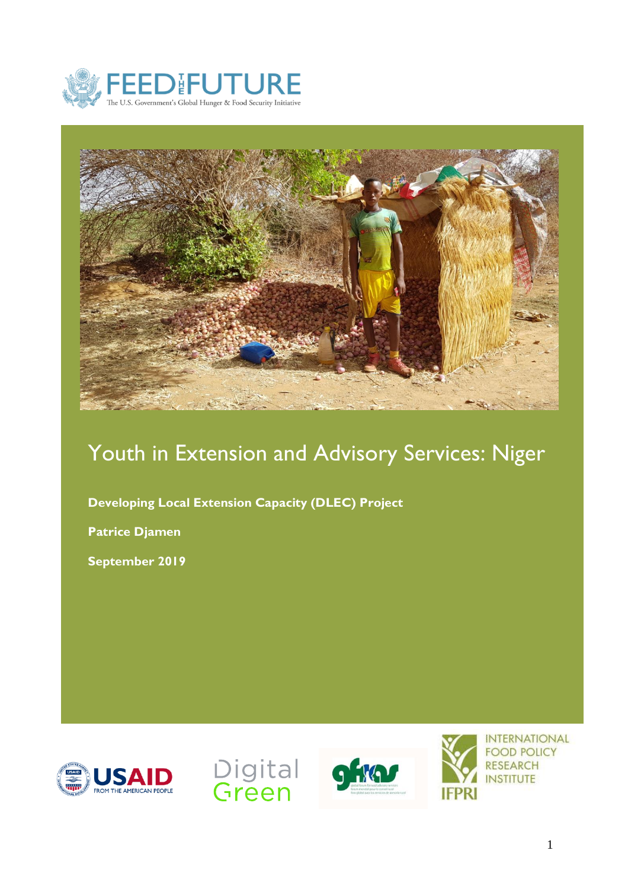



# Youth in Extension and Advisory Services: Niger

**Developing Local Extension Capacity (DLEC) Project**

**Patrice Djamen**

**September 2019**







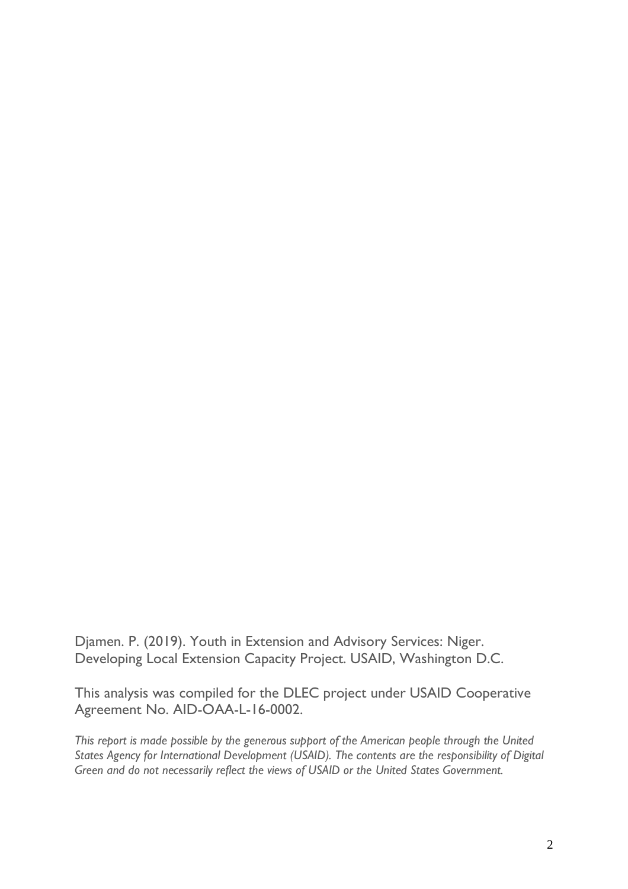Djamen. P. (2019). Youth in Extension and Advisory Services: Niger. Developing Local Extension Capacity Project. USAID, Washington D.C.

This analysis was compiled for the DLEC project under USAID Cooperative Agreement No. AID-OAA-L-16-0002.

*This report is made possible by the generous support of the American people through the United States Agency for International Development (USAID). The contents are the responsibility of Digital Green and do not necessarily reflect the views of USAID or the United States Government.*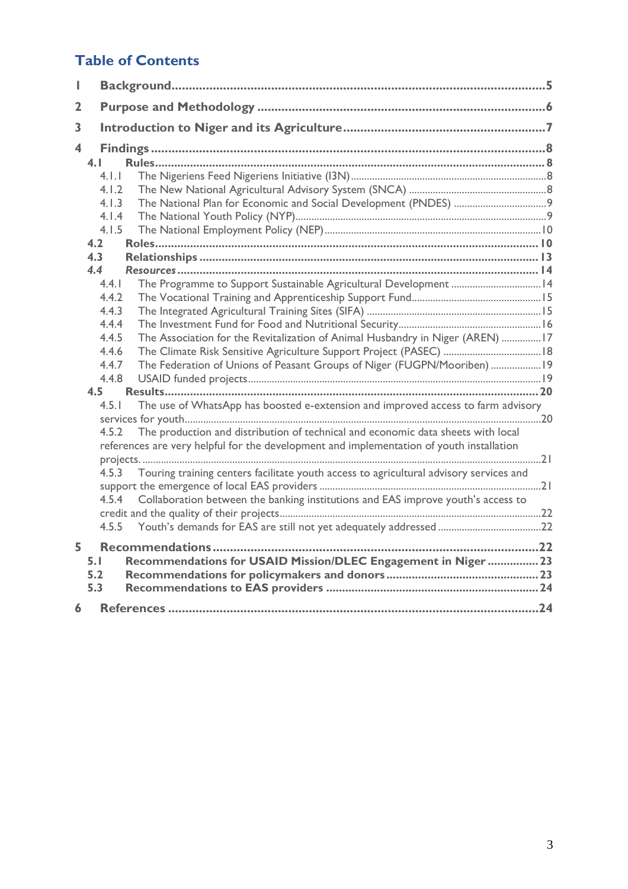# **Table of Contents**

| 2  |                                                                                           |                                                                                        |  |
|----|-------------------------------------------------------------------------------------------|----------------------------------------------------------------------------------------|--|
| 3  |                                                                                           |                                                                                        |  |
| 4  |                                                                                           |                                                                                        |  |
|    | 4.1                                                                                       |                                                                                        |  |
|    | 4.1.1                                                                                     |                                                                                        |  |
|    | 4.1.2                                                                                     |                                                                                        |  |
|    | 4.1.3                                                                                     |                                                                                        |  |
|    | 4.1.4                                                                                     |                                                                                        |  |
|    | 4.1.5                                                                                     |                                                                                        |  |
|    | 4.2                                                                                       |                                                                                        |  |
|    | 4.3                                                                                       |                                                                                        |  |
|    | 4.4                                                                                       |                                                                                        |  |
|    | 4.4.1                                                                                     |                                                                                        |  |
|    | 4.4.2                                                                                     |                                                                                        |  |
|    | 4.4.3                                                                                     |                                                                                        |  |
|    | 4.4.4                                                                                     |                                                                                        |  |
|    | 4.4.5                                                                                     | The Association for the Revitalization of Animal Husbandry in Niger (AREN) 17          |  |
|    | 4.4.6                                                                                     |                                                                                        |  |
|    | 4.4.7<br>4.4.8                                                                            | The Federation of Unions of Peasant Groups of Niger (FUGPN/Mooriben)  19               |  |
|    | 4.5                                                                                       |                                                                                        |  |
|    | 4.5.1                                                                                     | The use of WhatsApp has boosted e-extension and improved access to farm advisory       |  |
|    |                                                                                           |                                                                                        |  |
|    | The production and distribution of technical and economic data sheets with local<br>4.5.2 |                                                                                        |  |
|    | references are very helpful for the development and implementation of youth installation  |                                                                                        |  |
|    |                                                                                           |                                                                                        |  |
|    | 4.5.3                                                                                     | Touring training centers facilitate youth access to agricultural advisory services and |  |
|    |                                                                                           |                                                                                        |  |
|    | Collaboration between the banking institutions and EAS improve youth's access to<br>4.5.4 |                                                                                        |  |
|    |                                                                                           |                                                                                        |  |
|    | 4.5.5                                                                                     |                                                                                        |  |
| 5. |                                                                                           |                                                                                        |  |
|    | 5.1                                                                                       | Recommendations for USAID Mission/DLEC Engagement in Niger  23                         |  |
|    | 5.2                                                                                       |                                                                                        |  |
|    | 5.3                                                                                       |                                                                                        |  |
| 6  |                                                                                           |                                                                                        |  |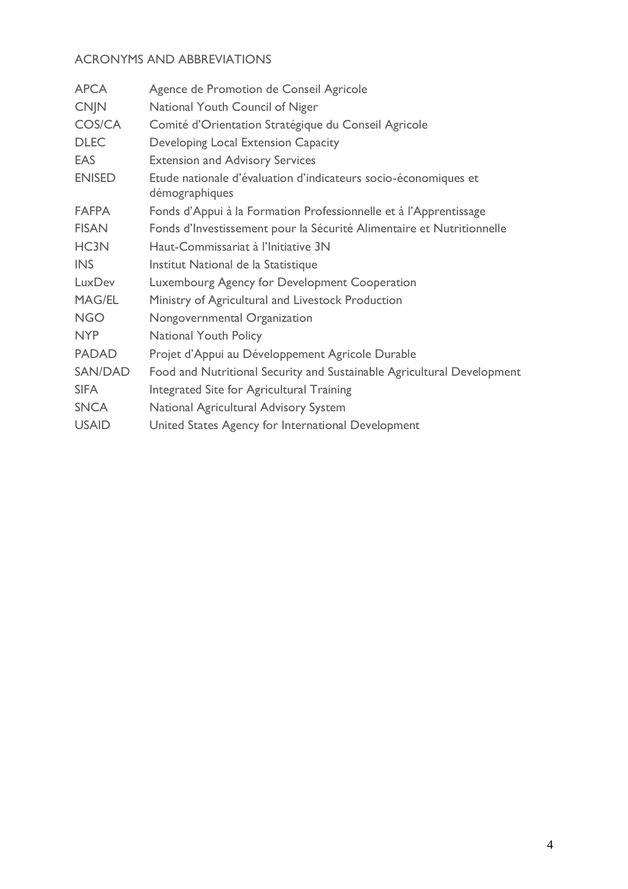# ACRONYMS AND ABBREVIATIONS

| Agence de Promotion de Conseil Agricole                                           |
|-----------------------------------------------------------------------------------|
| National Youth Council of Niger                                                   |
| Comité d'Orientation Stratégique du Conseil Agricole                              |
| Developing Local Extension Capacity                                               |
| <b>Extension and Advisory Services</b>                                            |
| Etude nationale d'évaluation d'indicateurs socio-économiques et<br>démographiques |
| Fonds d'Appui à la Formation Professionnelle et à l'Apprentissage                 |
| Fonds d'Investissement pour la Sécurité Alimentaire et Nutritionnelle             |
| Haut-Commissariat à l'Initiative 3N                                               |
| Institut National de la Statistique                                               |
| Luxembourg Agency for Development Cooperation                                     |
| Ministry of Agricultural and Livestock Production                                 |
| Nongovernmental Organization                                                      |
| <b>National Youth Policy</b>                                                      |
| Projet d'Appui au Développement Agricole Durable                                  |
| Food and Nutritional Security and Sustainable Agricultural Development            |
| Integrated Site for Agricultural Training                                         |
| National Agricultural Advisory System                                             |
| United States Agency for International Development                                |
|                                                                                   |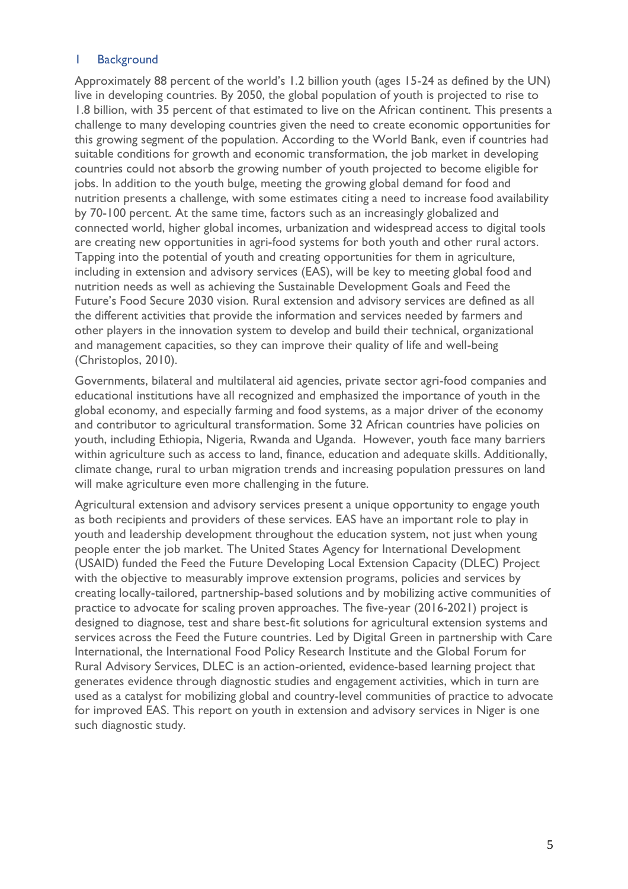#### <span id="page-4-0"></span>1 Background

Approximately 88 percent of the world's 1.2 billion youth (ages 15-24 as defined by the UN) live in developing countries. By 2050, the global population of youth is projected to rise to 1.8 billion, with 35 percent of that estimated to live on the African continent. This presents a challenge to many developing countries given the need to create economic opportunities for this growing segment of the population. According to the World Bank, even if countries had suitable conditions for growth and economic transformation, the job market in developing countries could not absorb the growing number of youth projected to become eligible for jobs. In addition to the youth bulge, meeting the growing global demand for food and nutrition presents a challenge, with some estimates citing a need to increase food availability by 70-100 percent. At the same time, factors such as an increasingly globalized and connected world, higher global incomes, urbanization and widespread access to digital tools are creating new opportunities in agri-food systems for both youth and other rural actors. Tapping into the potential of youth and creating opportunities for them in agriculture, including in extension and advisory services (EAS), will be key to meeting global food and nutrition needs as well as achieving the Sustainable Development Goals and Feed the Future's Food Secure 2030 vision. Rural extension and advisory services are defined as all the different activities that provide the information and services needed by farmers and other players in the innovation system to develop and build their technical, organizational and management capacities, so they can improve their quality of life and well-being (Christoplos, 2010).

Governments, bilateral and multilateral aid agencies, private sector agri-food companies and educational institutions have all recognized and emphasized the importance of youth in the global economy, and especially farming and food systems, as a major driver of the economy and contributor to agricultural transformation. Some 32 African countries have policies on youth, including Ethiopia, Nigeria, Rwanda and Uganda. However, youth face many barriers within agriculture such as access to land, finance, education and adequate skills. Additionally, climate change, rural to urban migration trends and increasing population pressures on land will make agriculture even more challenging in the future.

Agricultural extension and advisory services present a unique opportunity to engage youth as both recipients and providers of these services. EAS have an important role to play in youth and leadership development throughout the education system, not just when young people enter the job market. The United States Agency for International Development (USAID) funded the Feed the Future Developing Local Extension Capacity (DLEC) Project with the objective to measurably improve extension programs, policies and services by creating locally-tailored, partnership-based solutions and by mobilizing active communities of practice to advocate for scaling proven approaches. The five-year (2016-2021) project is designed to diagnose, test and share best-fit solutions for agricultural extension systems and services across the Feed the Future countries. Led by Digital Green in partnership with Care International, the International Food Policy Research Institute and the Global Forum for Rural Advisory Services, DLEC is an action-oriented, evidence-based learning project that generates evidence through diagnostic studies and engagement activities, which in turn are used as a catalyst for mobilizing global and country-level communities of practice to advocate for improved EAS. This report on youth in extension and advisory services in Niger is one such diagnostic study.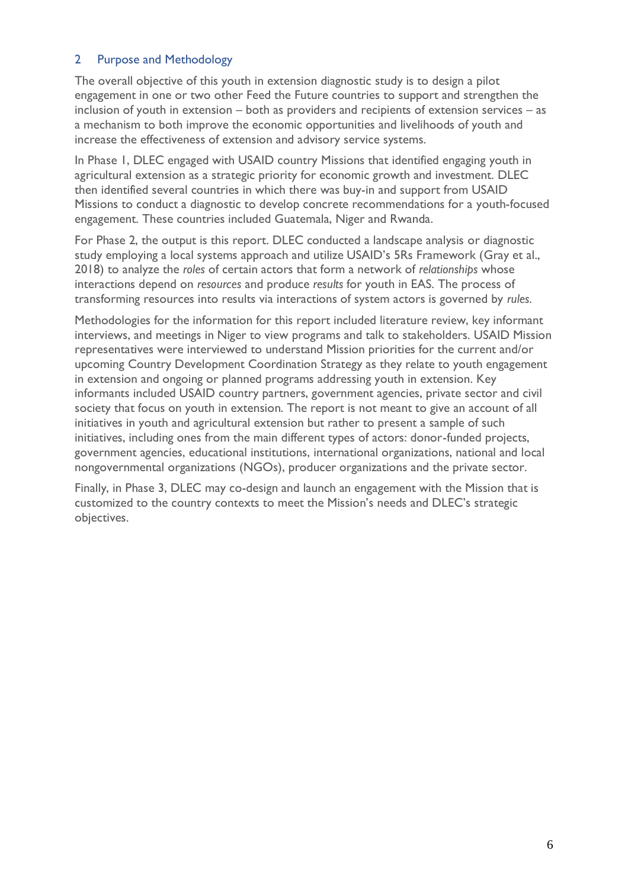#### <span id="page-5-0"></span>2 Purpose and Methodology

The overall objective of this youth in extension diagnostic study is to design a pilot engagement in one or two other Feed the Future countries to support and strengthen the inclusion of youth in extension – both as providers and recipients of extension services – as a mechanism to both improve the economic opportunities and livelihoods of youth and increase the effectiveness of extension and advisory service systems.

In Phase 1, DLEC engaged with USAID country Missions that identified engaging youth in agricultural extension as a strategic priority for economic growth and investment. DLEC then identified several countries in which there was buy-in and support from USAID Missions to conduct a diagnostic to develop concrete recommendations for a youth-focused engagement. These countries included Guatemala, Niger and Rwanda.

For Phase 2, the output is this report. DLEC conducted a landscape analysis or diagnostic study employing a local systems approach and utilize USAID's 5Rs Framework (Gray et al., 2018) to analyze the *roles* of certain actors that form a network of *relationships* whose interactions depend on *resources* and produce *results* for youth in EAS. The process of transforming resources into results via interactions of system actors is governed by *rules*.

Methodologies for the information for this report included literature review, key informant interviews, and meetings in Niger to view programs and talk to stakeholders. USAID Mission representatives were interviewed to understand Mission priorities for the current and/or upcoming Country Development Coordination Strategy as they relate to youth engagement in extension and ongoing or planned programs addressing youth in extension. Key informants included USAID country partners, government agencies, private sector and civil society that focus on youth in extension. The report is not meant to give an account of all initiatives in youth and agricultural extension but rather to present a sample of such initiatives, including ones from the main different types of actors: donor-funded projects, government agencies, educational institutions, international organizations, national and local nongovernmental organizations (NGOs), producer organizations and the private sector.

Finally, in Phase 3, DLEC may co-design and launch an engagement with the Mission that is customized to the country contexts to meet the Mission's needs and DLEC's strategic objectives.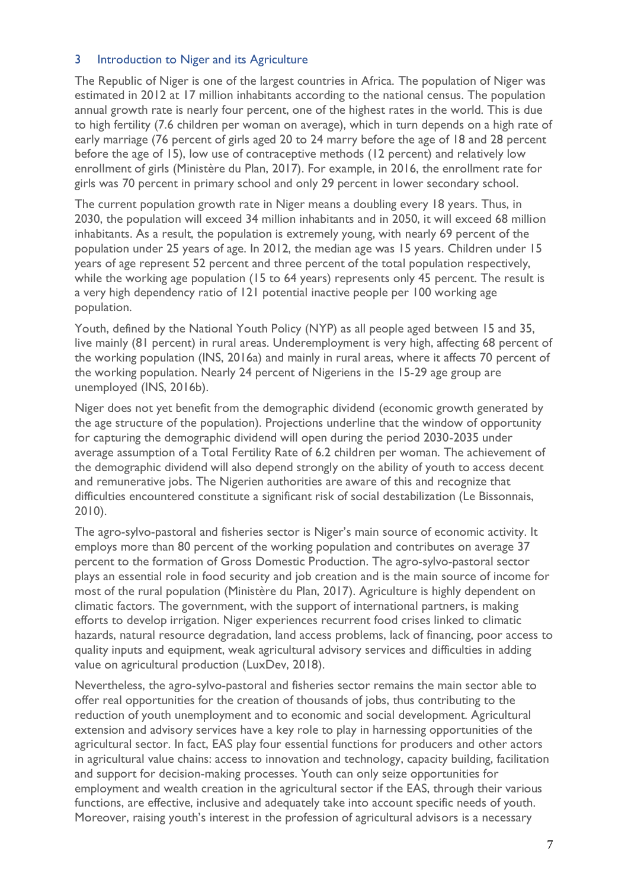#### <span id="page-6-0"></span>3 Introduction to Niger and its Agriculture

The Republic of Niger is one of the largest countries in Africa. The population of Niger was estimated in 2012 at 17 million inhabitants according to the national census. The population annual growth rate is nearly four percent, one of the highest rates in the world. This is due to high fertility (7.6 children per woman on average), which in turn depends on a high rate of early marriage (76 percent of girls aged 20 to 24 marry before the age of 18 and 28 percent before the age of 15), low use of contraceptive methods (12 percent) and relatively low enrollment of girls (Ministère du Plan, 2017). For example, in 2016, the enrollment rate for girls was 70 percent in primary school and only 29 percent in lower secondary school.

The current population growth rate in Niger means a doubling every 18 years. Thus, in 2030, the population will exceed 34 million inhabitants and in 2050, it will exceed 68 million inhabitants. As a result, the population is extremely young, with nearly 69 percent of the population under 25 years of age. In 2012, the median age was 15 years. Children under 15 years of age represent 52 percent and three percent of the total population respectively, while the working age population (15 to 64 years) represents only 45 percent. The result is a very high dependency ratio of 121 potential inactive people per 100 working age population.

Youth, defined by the National Youth Policy (NYP) as all people aged between 15 and 35, live mainly (81 percent) in rural areas. Underemployment is very high, affecting 68 percent of the working population (INS, 2016a) and mainly in rural areas, where it affects 70 percent of the working population. Nearly 24 percent of Nigeriens in the 15-29 age group are unemployed (INS, 2016b).

Niger does not yet benefit from the demographic dividend (economic growth generated by the age structure of the population). Projections underline that the window of opportunity for capturing the demographic dividend will open during the period 2030-2035 under average assumption of a Total Fertility Rate of 6.2 children per woman. The achievement of the demographic dividend will also depend strongly on the ability of youth to access decent and remunerative jobs. The Nigerien authorities are aware of this and recognize that difficulties encountered constitute a significant risk of social destabilization (Le Bissonnais, 2010).

The agro-sylvo-pastoral and fisheries sector is Niger's main source of economic activity. It employs more than 80 percent of the working population and contributes on average 37 percent to the formation of Gross Domestic Production. The agro-sylvo-pastoral sector plays an essential role in food security and job creation and is the main source of income for most of the rural population (Ministère du Plan, 2017). Agriculture is highly dependent on climatic factors. The government, with the support of international partners, is making efforts to develop irrigation. Niger experiences recurrent food crises linked to climatic hazards, natural resource degradation, land access problems, lack of financing, poor access to quality inputs and equipment, weak agricultural advisory services and difficulties in adding value on agricultural production (LuxDev, 2018).

Nevertheless, the agro-sylvo-pastoral and fisheries sector remains the main sector able to offer real opportunities for the creation of thousands of jobs, thus contributing to the reduction of youth unemployment and to economic and social development. Agricultural extension and advisory services have a key role to play in harnessing opportunities of the agricultural sector. In fact, EAS play four essential functions for producers and other actors in agricultural value chains: access to innovation and technology, capacity building, facilitation and support for decision-making processes. Youth can only seize opportunities for employment and wealth creation in the agricultural sector if the EAS, through their various functions, are effective, inclusive and adequately take into account specific needs of youth. Moreover, raising youth's interest in the profession of agricultural advisors is a necessary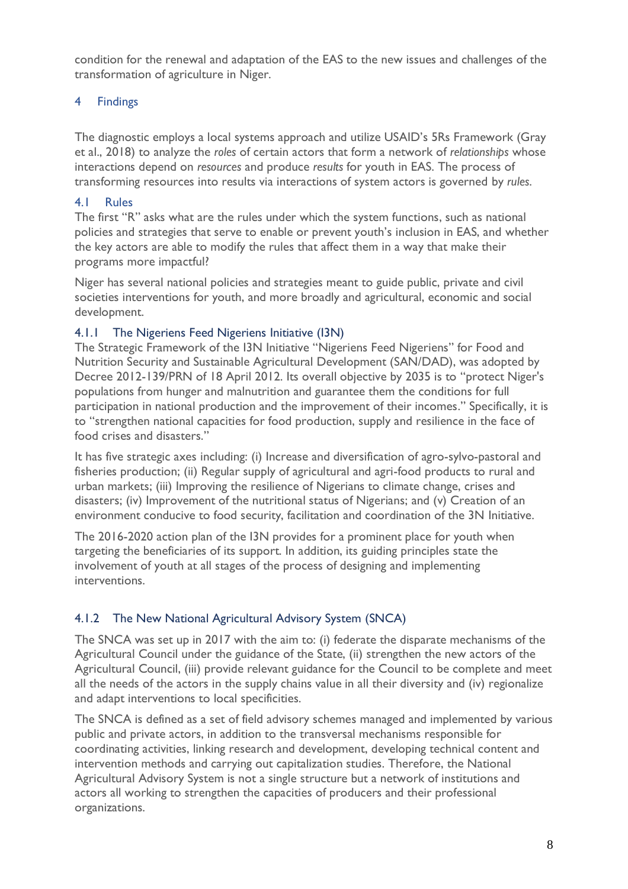condition for the renewal and adaptation of the EAS to the new issues and challenges of the transformation of agriculture in Niger.

# <span id="page-7-0"></span>4 Findings

The diagnostic employs a local systems approach and utilize USAID's 5Rs Framework (Gray et al., 2018) to analyze the *roles* of certain actors that form a network of *relationships* whose interactions depend on *resources* and produce *results* for youth in EAS. The process of transforming resources into results via interactions of system actors is governed by *rules*.

#### <span id="page-7-1"></span>4.1 Rules

The first "R" asks what are the rules under which the system functions, such as national policies and strategies that serve to enable or prevent youth's inclusion in EAS, and whether the key actors are able to modify the rules that affect them in a way that make their programs more impactful?

Niger has several national policies and strategies meant to guide public, private and civil societies interventions for youth, and more broadly and agricultural, economic and social development.

#### <span id="page-7-2"></span>4.1.1 The Nigeriens Feed Nigeriens Initiative (I3N)

The Strategic Framework of the I3N Initiative "Nigeriens Feed Nigeriens" for Food and Nutrition Security and Sustainable Agricultural Development (SAN/DAD), was adopted by Decree 2012-139/PRN of 18 April 2012. Its overall objective by 2035 is to "protect Niger's populations from hunger and malnutrition and guarantee them the conditions for full participation in national production and the improvement of their incomes." Specifically, it is to "strengthen national capacities for food production, supply and resilience in the face of food crises and disasters."

It has five strategic axes including: (i) Increase and diversification of agro-sylvo-pastoral and fisheries production; (ii) Regular supply of agricultural and agri-food products to rural and urban markets; (iii) Improving the resilience of Nigerians to climate change, crises and disasters; (iv) Improvement of the nutritional status of Nigerians; and (v) Creation of an environment conducive to food security, facilitation and coordination of the 3N Initiative.

The 2016-2020 action plan of the I3N provides for a prominent place for youth when targeting the beneficiaries of its support. In addition, its guiding principles state the involvement of youth at all stages of the process of designing and implementing interventions.

# <span id="page-7-3"></span>4.1.2 The New National Agricultural Advisory System (SNCA)

The SNCA was set up in 2017 with the aim to: (i) federate the disparate mechanisms of the Agricultural Council under the guidance of the State, (ii) strengthen the new actors of the Agricultural Council, (iii) provide relevant guidance for the Council to be complete and meet all the needs of the actors in the supply chains value in all their diversity and (iv) regionalize and adapt interventions to local specificities.

The SNCA is defined as a set of field advisory schemes managed and implemented by various public and private actors, in addition to the transversal mechanisms responsible for coordinating activities, linking research and development, developing technical content and intervention methods and carrying out capitalization studies. Therefore, the National Agricultural Advisory System is not a single structure but a network of institutions and actors all working to strengthen the capacities of producers and their professional organizations.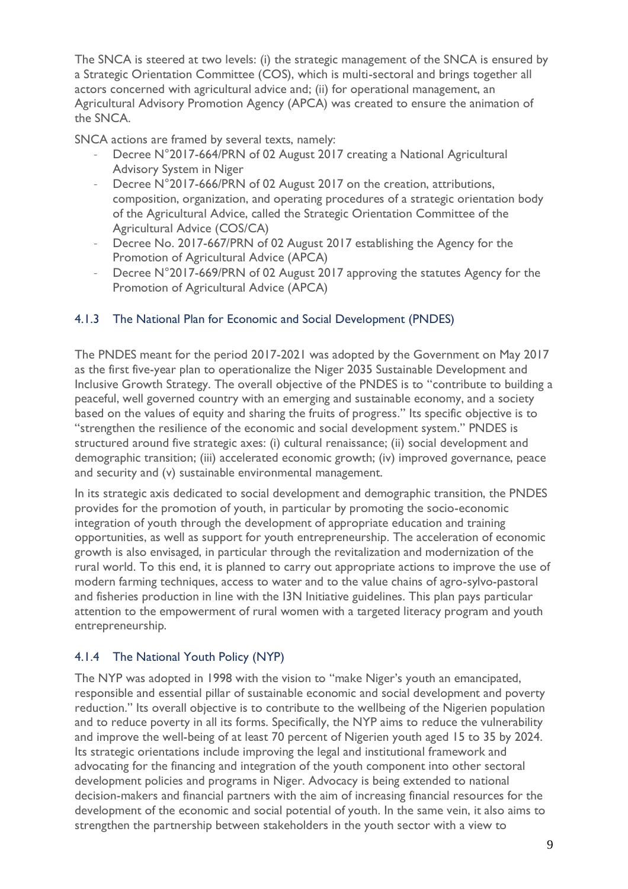The SNCA is steered at two levels: (i) the strategic management of the SNCA is ensured by a Strategic Orientation Committee (COS), which is multi-sectoral and brings together all actors concerned with agricultural advice and; (ii) for operational management, an Agricultural Advisory Promotion Agency (APCA) was created to ensure the animation of the SNCA.

SNCA actions are framed by several texts, namely:

- Decree N°2017-664/PRN of 02 August 2017 creating a National Agricultural Advisory System in Niger
- Decree N°2017-666/PRN of 02 August 2017 on the creation, attributions, composition, organization, and operating procedures of a strategic orientation body of the Agricultural Advice, called the Strategic Orientation Committee of the Agricultural Advice (COS/CA)
- Decree No. 2017-667/PRN of 02 August 2017 establishing the Agency for the Promotion of Agricultural Advice (APCA)
- Decree N°2017-669/PRN of 02 August 2017 approving the statutes Agency for the Promotion of Agricultural Advice (APCA)

#### <span id="page-8-0"></span>4.1.3 The National Plan for Economic and Social Development (PNDES)

The PNDES meant for the period 2017-2021 was adopted by the Government on May 2017 as the first five-year plan to operationalize the Niger 2035 Sustainable Development and Inclusive Growth Strategy. The overall objective of the PNDES is to "contribute to building a peaceful, well governed country with an emerging and sustainable economy, and a society based on the values of equity and sharing the fruits of progress." Its specific objective is to "strengthen the resilience of the economic and social development system." PNDES is structured around five strategic axes: (i) cultural renaissance; (ii) social development and demographic transition; (iii) accelerated economic growth; (iv) improved governance, peace and security and (v) sustainable environmental management.

In its strategic axis dedicated to social development and demographic transition, the PNDES provides for the promotion of youth, in particular by promoting the socio-economic integration of youth through the development of appropriate education and training opportunities, as well as support for youth entrepreneurship. The acceleration of economic growth is also envisaged, in particular through the revitalization and modernization of the rural world. To this end, it is planned to carry out appropriate actions to improve the use of modern farming techniques, access to water and to the value chains of agro-sylvo-pastoral and fisheries production in line with the I3N Initiative guidelines. This plan pays particular attention to the empowerment of rural women with a targeted literacy program and youth entrepreneurship.

#### <span id="page-8-1"></span>4.1.4 The National Youth Policy (NYP)

The NYP was adopted in 1998 with the vision to "make Niger's youth an emancipated, responsible and essential pillar of sustainable economic and social development and poverty reduction." Its overall objective is to contribute to the wellbeing of the Nigerien population and to reduce poverty in all its forms. Specifically, the NYP aims to reduce the vulnerability and improve the well-being of at least 70 percent of Nigerien youth aged 15 to 35 by 2024. Its strategic orientations include improving the legal and institutional framework and advocating for the financing and integration of the youth component into other sectoral development policies and programs in Niger. Advocacy is being extended to national decision-makers and financial partners with the aim of increasing financial resources for the development of the economic and social potential of youth. In the same vein, it also aims to strengthen the partnership between stakeholders in the youth sector with a view to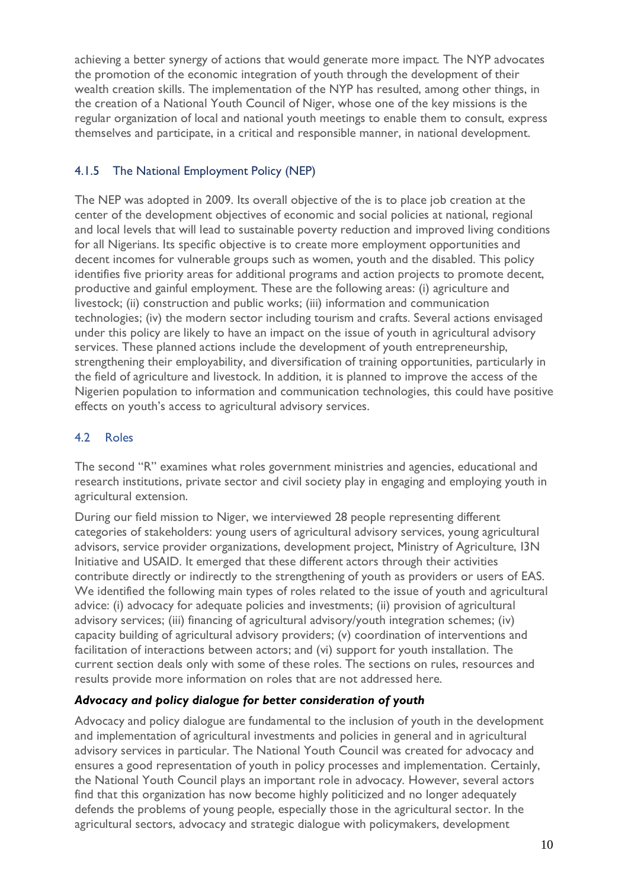achieving a better synergy of actions that would generate more impact. The NYP advocates the promotion of the economic integration of youth through the development of their wealth creation skills. The implementation of the NYP has resulted, among other things, in the creation of a National Youth Council of Niger, whose one of the key missions is the regular organization of local and national youth meetings to enable them to consult, express themselves and participate, in a critical and responsible manner, in national development.

# <span id="page-9-0"></span>4.1.5 The National Employment Policy (NEP)

The NEP was adopted in 2009. Its overall objective of the is to place job creation at the center of the development objectives of economic and social policies at national, regional and local levels that will lead to sustainable poverty reduction and improved living conditions for all Nigerians. Its specific objective is to create more employment opportunities and decent incomes for vulnerable groups such as women, youth and the disabled. This policy identifies five priority areas for additional programs and action projects to promote decent, productive and gainful employment. These are the following areas: (i) agriculture and livestock; (ii) construction and public works; (iii) information and communication technologies; (iv) the modern sector including tourism and crafts. Several actions envisaged under this policy are likely to have an impact on the issue of youth in agricultural advisory services. These planned actions include the development of youth entrepreneurship, strengthening their employability, and diversification of training opportunities, particularly in the field of agriculture and livestock. In addition, it is planned to improve the access of the Nigerien population to information and communication technologies, this could have positive effects on youth's access to agricultural advisory services.

### <span id="page-9-1"></span>4.2 Roles

The second "R" examines what roles government ministries and agencies, educational and research institutions, private sector and civil society play in engaging and employing youth in agricultural extension.

During our field mission to Niger, we interviewed 28 people representing different categories of stakeholders: young users of agricultural advisory services, young agricultural advisors, service provider organizations, development project, Ministry of Agriculture, I3N Initiative and USAID. It emerged that these different actors through their activities contribute directly or indirectly to the strengthening of youth as providers or users of EAS. We identified the following main types of roles related to the issue of youth and agricultural advice: (i) advocacy for adequate policies and investments; (ii) provision of agricultural advisory services; (iii) financing of agricultural advisory/youth integration schemes; (iv) capacity building of agricultural advisory providers; (v) coordination of interventions and facilitation of interactions between actors; and (vi) support for youth installation. The current section deals only with some of these roles. The sections on rules, resources and results provide more information on roles that are not addressed here.

#### *Advocacy and policy dialogue for better consideration of youth*

Advocacy and policy dialogue are fundamental to the inclusion of youth in the development and implementation of agricultural investments and policies in general and in agricultural advisory services in particular. The National Youth Council was created for advocacy and ensures a good representation of youth in policy processes and implementation. Certainly, the National Youth Council plays an important role in advocacy. However, several actors find that this organization has now become highly politicized and no longer adequately defends the problems of young people, especially those in the agricultural sector. In the agricultural sectors, advocacy and strategic dialogue with policymakers, development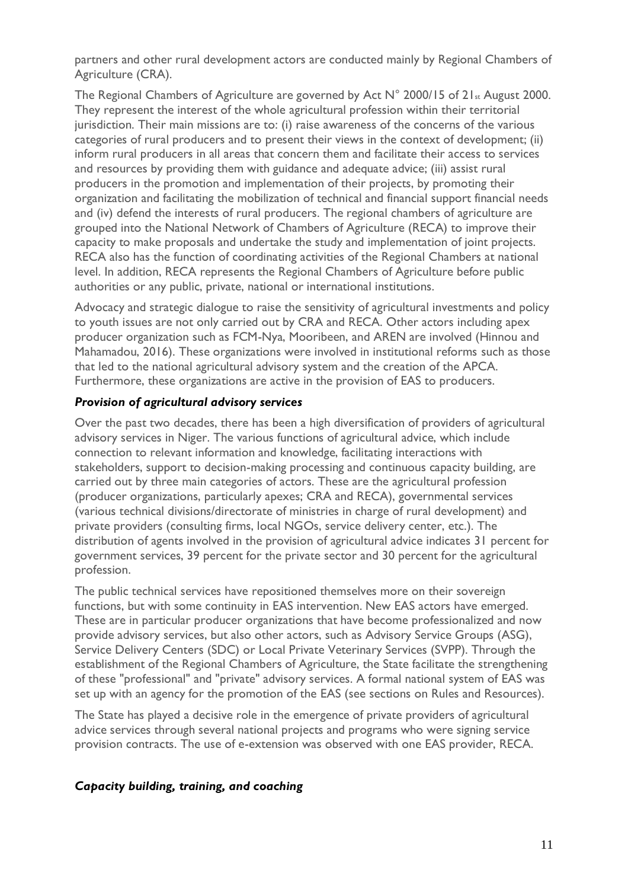partners and other rural development actors are conducted mainly by Regional Chambers of Agriculture (CRA).

The Regional Chambers of Agriculture are governed by Act N° 2000/15 of 21st August 2000. They represent the interest of the whole agricultural profession within their territorial jurisdiction. Their main missions are to: (i) raise awareness of the concerns of the various categories of rural producers and to present their views in the context of development; (ii) inform rural producers in all areas that concern them and facilitate their access to services and resources by providing them with guidance and adequate advice; (iii) assist rural producers in the promotion and implementation of their projects, by promoting their organization and facilitating the mobilization of technical and financial support financial needs and (iv) defend the interests of rural producers. The regional chambers of agriculture are grouped into the National Network of Chambers of Agriculture (RECA) to improve their capacity to make proposals and undertake the study and implementation of joint projects. RECA also has the function of coordinating activities of the Regional Chambers at national level. In addition, RECA represents the Regional Chambers of Agriculture before public authorities or any public, private, national or international institutions.

Advocacy and strategic dialogue to raise the sensitivity of agricultural investments and policy to youth issues are not only carried out by CRA and RECA. Other actors including apex producer organization such as FCM-Nya, Mooribeen, and AREN are involved (Hinnou and Mahamadou, 2016). These organizations were involved in institutional reforms such as those that led to the national agricultural advisory system and the creation of the APCA. Furthermore, these organizations are active in the provision of EAS to producers.

#### *Provision of agricultural advisory services*

Over the past two decades, there has been a high diversification of providers of agricultural advisory services in Niger. The various functions of agricultural advice, which include connection to relevant information and knowledge, facilitating interactions with stakeholders, support to decision-making processing and continuous capacity building, are carried out by three main categories of actors. These are the agricultural profession (producer organizations, particularly apexes; CRA and RECA), governmental services (various technical divisions/directorate of ministries in charge of rural development) and private providers (consulting firms, local NGOs, service delivery center, etc.). The distribution of agents involved in the provision of agricultural advice indicates 31 percent for government services, 39 percent for the private sector and 30 percent for the agricultural profession.

The public technical services have repositioned themselves more on their sovereign functions, but with some continuity in EAS intervention. New EAS actors have emerged. These are in particular producer organizations that have become professionalized and now provide advisory services, but also other actors, such as Advisory Service Groups (ASG), Service Delivery Centers (SDC) or Local Private Veterinary Services (SVPP). Through the establishment of the Regional Chambers of Agriculture, the State facilitate the strengthening of these "professional" and "private" advisory services. A formal national system of EAS was set up with an agency for the promotion of the EAS (see sections on Rules and Resources).

The State has played a decisive role in the emergence of private providers of agricultural advice services through several national projects and programs who were signing service provision contracts. The use of e-extension was observed with one EAS provider, RECA.

#### *Capacity building, training, and coaching*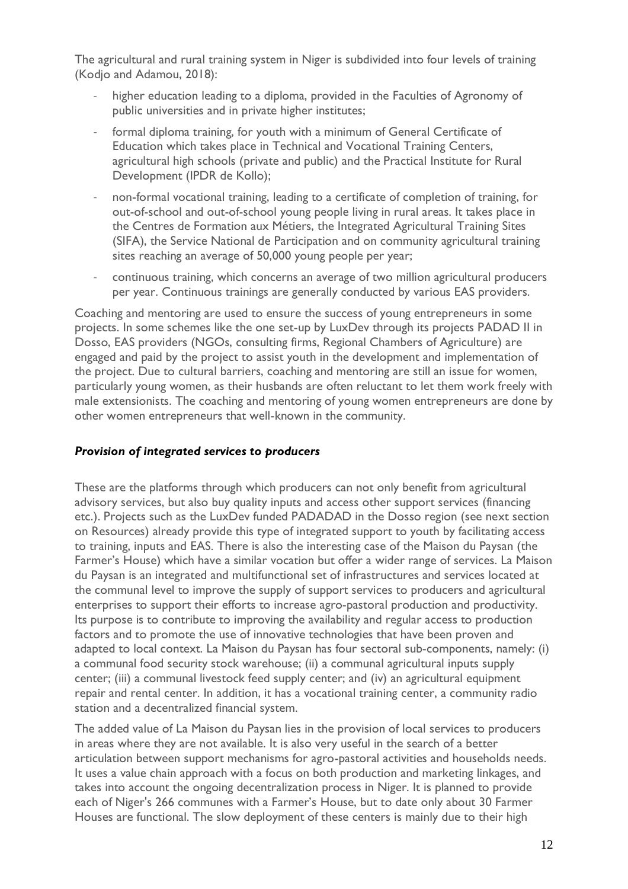The agricultural and rural training system in Niger is subdivided into four levels of training (Kodjo and Adamou, 2018):

- higher education leading to a diploma, provided in the Faculties of Agronomy of public universities and in private higher institutes;
- formal diploma training, for youth with a minimum of General Certificate of Education which takes place in Technical and Vocational Training Centers, agricultural high schools (private and public) and the Practical Institute for Rural Development (IPDR de Kollo);
- non-formal vocational training, leading to a certificate of completion of training, for out-of-school and out-of-school young people living in rural areas. It takes place in the Centres de Formation aux Métiers, the Integrated Agricultural Training Sites (SIFA), the Service National de Participation and on community agricultural training sites reaching an average of 50,000 young people per year;
- continuous training, which concerns an average of two million agricultural producers per year. Continuous trainings are generally conducted by various EAS providers.

Coaching and mentoring are used to ensure the success of young entrepreneurs in some projects. In some schemes like the one set-up by LuxDev through its projects PADAD II in Dosso, EAS providers (NGOs, consulting firms, Regional Chambers of Agriculture) are engaged and paid by the project to assist youth in the development and implementation of the project. Due to cultural barriers, coaching and mentoring are still an issue for women, particularly young women, as their husbands are often reluctant to let them work freely with male extensionists. The coaching and mentoring of young women entrepreneurs are done by other women entrepreneurs that well-known in the community.

#### *Provision of integrated services to producers*

These are the platforms through which producers can not only benefit from agricultural advisory services, but also buy quality inputs and access other support services (financing etc.). Projects such as the LuxDev funded PADADAD in the Dosso region (see next section on Resources) already provide this type of integrated support to youth by facilitating access to training, inputs and EAS. There is also the interesting case of the Maison du Paysan (the Farmer's House) which have a similar vocation but offer a wider range of services. La Maison du Paysan is an integrated and multifunctional set of infrastructures and services located at the communal level to improve the supply of support services to producers and agricultural enterprises to support their efforts to increase agro-pastoral production and productivity. Its purpose is to contribute to improving the availability and regular access to production factors and to promote the use of innovative technologies that have been proven and adapted to local context. La Maison du Paysan has four sectoral sub-components, namely: (i) a communal food security stock warehouse; (ii) a communal agricultural inputs supply center; (iii) a communal livestock feed supply center; and (iv) an agricultural equipment repair and rental center. In addition, it has a vocational training center, a community radio station and a decentralized financial system.

The added value of La Maison du Paysan lies in the provision of local services to producers in areas where they are not available. It is also very useful in the search of a better articulation between support mechanisms for agro-pastoral activities and households needs. It uses a value chain approach with a focus on both production and marketing linkages, and takes into account the ongoing decentralization process in Niger. It is planned to provide each of Niger's 266 communes with a Farmer's House, but to date only about 30 Farmer Houses are functional. The slow deployment of these centers is mainly due to their high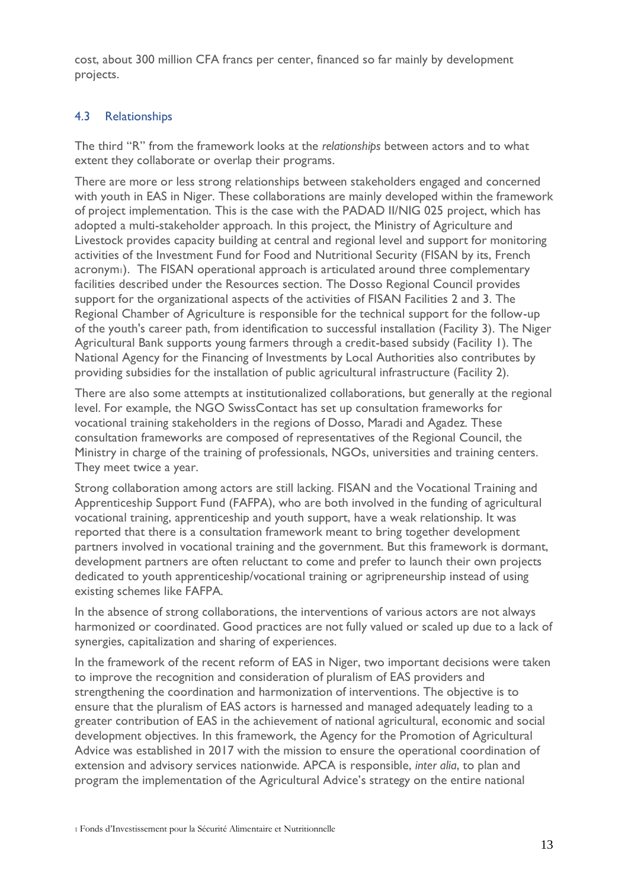cost, about 300 million CFA francs per center, financed so far mainly by development projects.

#### <span id="page-12-0"></span>4.3 Relationships

The third "R" from the framework looks at the *relationships* between actors and to what extent they collaborate or overlap their programs.

There are more or less strong relationships between stakeholders engaged and concerned with youth in EAS in Niger. These collaborations are mainly developed within the framework of project implementation. This is the case with the PADAD II/NIG 025 project, which has adopted a multi-stakeholder approach. In this project, the Ministry of Agriculture and Livestock provides capacity building at central and regional level and support for monitoring activities of the Investment Fund for Food and Nutritional Security (FISAN by its, French acronym1). The FISAN operational approach is articulated around three complementary facilities described under the Resources section. The Dosso Regional Council provides support for the organizational aspects of the activities of FISAN Facilities 2 and 3. The Regional Chamber of Agriculture is responsible for the technical support for the follow-up of the youth's career path, from identification to successful installation (Facility 3). The Niger Agricultural Bank supports young farmers through a credit-based subsidy (Facility 1). The National Agency for the Financing of Investments by Local Authorities also contributes by providing subsidies for the installation of public agricultural infrastructure (Facility 2).

There are also some attempts at institutionalized collaborations, but generally at the regional level. For example, the NGO SwissContact has set up consultation frameworks for vocational training stakeholders in the regions of Dosso, Maradi and Agadez. These consultation frameworks are composed of representatives of the Regional Council, the Ministry in charge of the training of professionals, NGOs, universities and training centers. They meet twice a year.

Strong collaboration among actors are still lacking. FISAN and the Vocational Training and Apprenticeship Support Fund (FAFPA), who are both involved in the funding of agricultural vocational training, apprenticeship and youth support, have a weak relationship. It was reported that there is a consultation framework meant to bring together development partners involved in vocational training and the government. But this framework is dormant, development partners are often reluctant to come and prefer to launch their own projects dedicated to youth apprenticeship/vocational training or agripreneurship instead of using existing schemes like FAFPA.

In the absence of strong collaborations, the interventions of various actors are not always harmonized or coordinated. Good practices are not fully valued or scaled up due to a lack of synergies, capitalization and sharing of experiences.

In the framework of the recent reform of EAS in Niger, two important decisions were taken to improve the recognition and consideration of pluralism of EAS providers and strengthening the coordination and harmonization of interventions. The objective is to ensure that the pluralism of EAS actors is harnessed and managed adequately leading to a greater contribution of EAS in the achievement of national agricultural, economic and social development objectives. In this framework, the Agency for the Promotion of Agricultural Advice was established in 2017 with the mission to ensure the operational coordination of extension and advisory services nationwide. APCA is responsible, *inter alia*, to plan and program the implementation of the Agricultural Advice's strategy on the entire national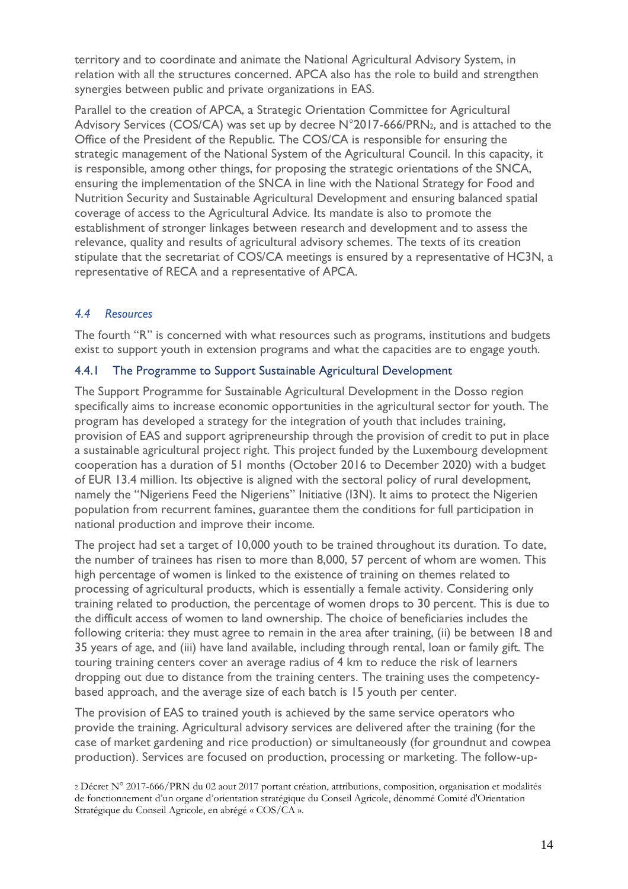territory and to coordinate and animate the National Agricultural Advisory System, in relation with all the structures concerned. APCA also has the role to build and strengthen synergies between public and private organizations in EAS.

Parallel to the creation of APCA, a Strategic Orientation Committee for Agricultural Advisory Services (COS/CA) was set up by decree N°2017-666/PRN2, and is attached to the Office of the President of the Republic. The COS/CA is responsible for ensuring the strategic management of the National System of the Agricultural Council. In this capacity, it is responsible, among other things, for proposing the strategic orientations of the SNCA, ensuring the implementation of the SNCA in line with the National Strategy for Food and Nutrition Security and Sustainable Agricultural Development and ensuring balanced spatial coverage of access to the Agricultural Advice. Its mandate is also to promote the establishment of stronger linkages between research and development and to assess the relevance, quality and results of agricultural advisory schemes. The texts of its creation stipulate that the secretariat of COS/CA meetings is ensured by a representative of HC3N, a representative of RECA and a representative of APCA.

#### <span id="page-13-0"></span>*4.4 Resources*

The fourth "R" is concerned with what resources such as programs, institutions and budgets exist to support youth in extension programs and what the capacities are to engage youth.

#### <span id="page-13-1"></span>4.4.1 The Programme to Support Sustainable Agricultural Development

The Support Programme for Sustainable Agricultural Development in the Dosso region specifically aims to increase economic opportunities in the agricultural sector for youth. The program has developed a strategy for the integration of youth that includes training, provision of EAS and support agripreneurship through the provision of credit to put in place a sustainable agricultural project right. This project funded by the Luxembourg development cooperation has a duration of 51 months (October 2016 to December 2020) with a budget of EUR 13.4 million. Its objective is aligned with the sectoral policy of rural development, namely the "Nigeriens Feed the Nigeriens" Initiative (I3N). It aims to protect the Nigerien population from recurrent famines, guarantee them the conditions for full participation in national production and improve their income.

The project had set a target of 10,000 youth to be trained throughout its duration. To date, the number of trainees has risen to more than 8,000, 57 percent of whom are women. This high percentage of women is linked to the existence of training on themes related to processing of agricultural products, which is essentially a female activity. Considering only training related to production, the percentage of women drops to 30 percent. This is due to the difficult access of women to land ownership. The choice of beneficiaries includes the following criteria: they must agree to remain in the area after training, (ii) be between 18 and 35 years of age, and (iii) have land available, including through rental, loan or family gift. The touring training centers cover an average radius of 4 km to reduce the risk of learners dropping out due to distance from the training centers. The training uses the competencybased approach, and the average size of each batch is 15 youth per center.

The provision of EAS to trained youth is achieved by the same service operators who provide the training. Agricultural advisory services are delivered after the training (for the case of market gardening and rice production) or simultaneously (for groundnut and cowpea production). Services are focused on production, processing or marketing. The follow-up-

<sup>2</sup> Décret N° 2017-666/PRN du 02 aout 2017 portant création, attributions, composition, organisation et modalités de fonctionnement d'un organe d'orientation stratégique du Conseil Agricole, dénommé Comité d'Orientation Stratégique du Conseil Agricole, en abrégé « COS/CA ».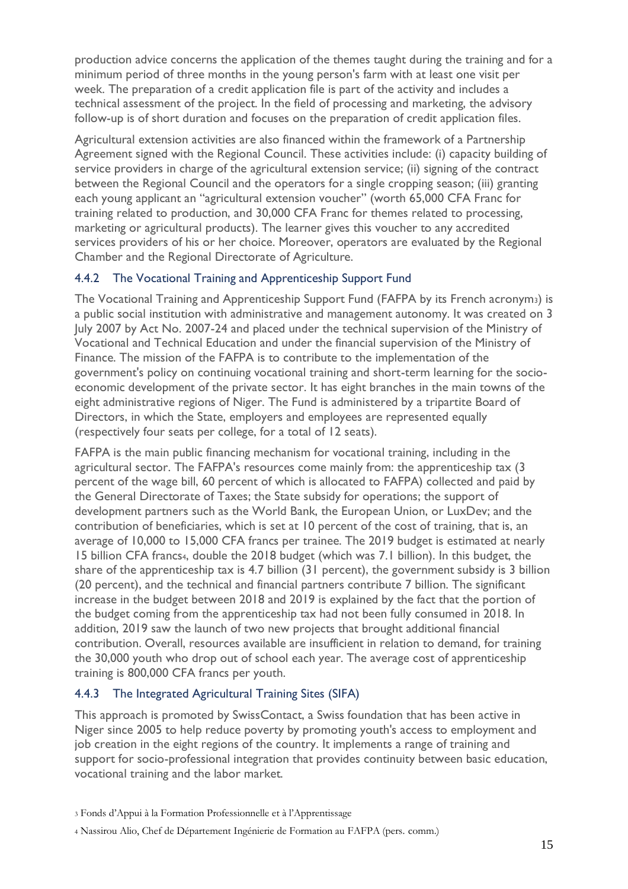production advice concerns the application of the themes taught during the training and for a minimum period of three months in the young person's farm with at least one visit per week. The preparation of a credit application file is part of the activity and includes a technical assessment of the project. In the field of processing and marketing, the advisory follow-up is of short duration and focuses on the preparation of credit application files.

Agricultural extension activities are also financed within the framework of a Partnership Agreement signed with the Regional Council. These activities include: (i) capacity building of service providers in charge of the agricultural extension service; (ii) signing of the contract between the Regional Council and the operators for a single cropping season; (iii) granting each young applicant an "agricultural extension voucher" (worth 65,000 CFA Franc for training related to production, and 30,000 CFA Franc for themes related to processing, marketing or agricultural products). The learner gives this voucher to any accredited services providers of his or her choice. Moreover, operators are evaluated by the Regional Chamber and the Regional Directorate of Agriculture.

#### <span id="page-14-0"></span>4.4.2 The Vocational Training and Apprenticeship Support Fund

The Vocational Training and Apprenticeship Support Fund (FAFPA by its French acronym3) is a public social institution with administrative and management autonomy. It was created on 3 July 2007 by Act No. 2007-24 and placed under the technical supervision of the Ministry of Vocational and Technical Education and under the financial supervision of the Ministry of Finance. The mission of the FAFPA is to contribute to the implementation of the government's policy on continuing vocational training and short-term learning for the socioeconomic development of the private sector. It has eight branches in the main towns of the eight administrative regions of Niger. The Fund is administered by a tripartite Board of Directors, in which the State, employers and employees are represented equally (respectively four seats per college, for a total of 12 seats).

FAFPA is the main public financing mechanism for vocational training, including in the agricultural sector. The FAFPA's resources come mainly from: the apprenticeship tax (3 percent of the wage bill, 60 percent of which is allocated to FAFPA) collected and paid by the General Directorate of Taxes; the State subsidy for operations; the support of development partners such as the World Bank, the European Union, or LuxDev; and the contribution of beneficiaries, which is set at 10 percent of the cost of training, that is, an average of 10,000 to 15,000 CFA francs per trainee. The 2019 budget is estimated at nearly 15 billion CFA francs4, double the 2018 budget (which was 7.1 billion). In this budget, the share of the apprenticeship tax is 4.7 billion (31 percent), the government subsidy is 3 billion (20 percent), and the technical and financial partners contribute 7 billion. The significant increase in the budget between 2018 and 2019 is explained by the fact that the portion of the budget coming from the apprenticeship tax had not been fully consumed in 2018. In addition, 2019 saw the launch of two new projects that brought additional financial contribution. Overall, resources available are insufficient in relation to demand, for training the 30,000 youth who drop out of school each year. The average cost of apprenticeship training is 800,000 CFA francs per youth.

#### <span id="page-14-1"></span>4.4.3 The Integrated Agricultural Training Sites (SIFA)

This approach is promoted by SwissContact, a Swiss foundation that has been active in Niger since 2005 to help reduce poverty by promoting youth's access to employment and job creation in the eight regions of the country. It implements a range of training and support for socio-professional integration that provides continuity between basic education, vocational training and the labor market.

<sup>3</sup> Fonds d'Appui à la Formation Professionnelle et à l'Apprentissage

<sup>4</sup> Nassirou Alio, Chef de Département Ingénierie de Formation au FAFPA (pers. comm.)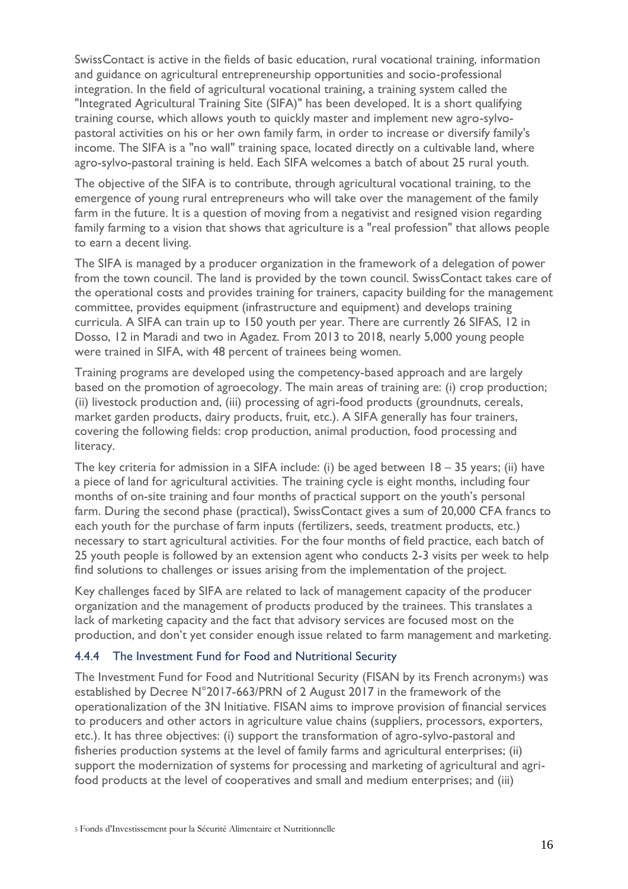SwissContact is active in the fields of basic education, rural vocational training, information and guidance on agricultural entrepreneurship opportunities and socio-professional integration. In the field of agricultural vocational training, a training system called the "Integrated Agricultural Training Site (SIFA)" has been developed. It is a short qualifying training course, which allows youth to quickly master and implement new agro-sylvopastoral activities on his or her own family farm, in order to increase or diversify family's income. The SIFA is a "no wall" training space, located directly on a cultivable land, where agro-sylvo-pastoral training is held. Each SIFA welcomes a batch of about 25 rural youth.

The objective of the SIFA is to contribute, through agricultural vocational training, to the emergence of young rural entrepreneurs who will take over the management of the family farm in the future. It is a question of moving from a negativist and resigned vision regarding family farming to a vision that shows that agriculture is a "real profession" that allows people to earn a decent living.

The SIFA is managed by a producer organization in the framework of a delegation of power from the town council. The land is provided by the town council. SwissContact takes care of the operational costs and provides training for trainers, capacity building for the management committee, provides equipment (infrastructure and equipment) and develops training curricula. A SIFA can train up to 150 youth per year. There are currently 26 SIFAS, 12 in Dosso, 12 in Maradi and two in Agadez. From 2013 to 2018, nearly 5,000 young people were trained in SIFA, with 48 percent of trainees being women.

Training programs are developed using the competency-based approach and are largely based on the promotion of agroecology. The main areas of training are: (i) crop production; (ii) livestock production and, (iii) processing of agri-food products (groundnuts, cereals, market garden products, dairy products, fruit, etc.). A SIFA generally has four trainers, covering the following fields: crop production, animal production, food processing and literacy.

The key criteria for admission in a SIFA include: (i) be aged between 18 – 35 years; (ii) have a piece of land for agricultural activities. The training cycle is eight months, including four months of on-site training and four months of practical support on the youth's personal farm. During the second phase (practical), SwissContact gives a sum of 20,000 CFA francs to each youth for the purchase of farm inputs (fertilizers, seeds, treatment products, etc.) necessary to start agricultural activities. For the four months of field practice, each batch of 25 youth people is followed by an extension agent who conducts 2-3 visits per week to help find solutions to challenges or issues arising from the implementation of the project.

Key challenges faced by SIFA are related to lack of management capacity of the producer organization and the management of products produced by the trainees. This translates a lack of marketing capacity and the fact that advisory services are focused most on the production, and don't yet consider enough issue related to farm management and marketing.

#### <span id="page-15-0"></span>4.4.4 The Investment Fund for Food and Nutritional Security

The Investment Fund for Food and Nutritional Security (FISAN by its French acronym5) was established by Decree N°2017-663/PRN of 2 August 2017 in the framework of the operationalization of the 3N Initiative. FISAN aims to improve provision of financial services to producers and other actors in agriculture value chains (suppliers, processors, exporters, etc.). It has three objectives: (i) support the transformation of agro-sylvo-pastoral and fisheries production systems at the level of family farms and agricultural enterprises; (ii) support the modernization of systems for processing and marketing of agricultural and agrifood products at the level of cooperatives and small and medium enterprises; and (iii)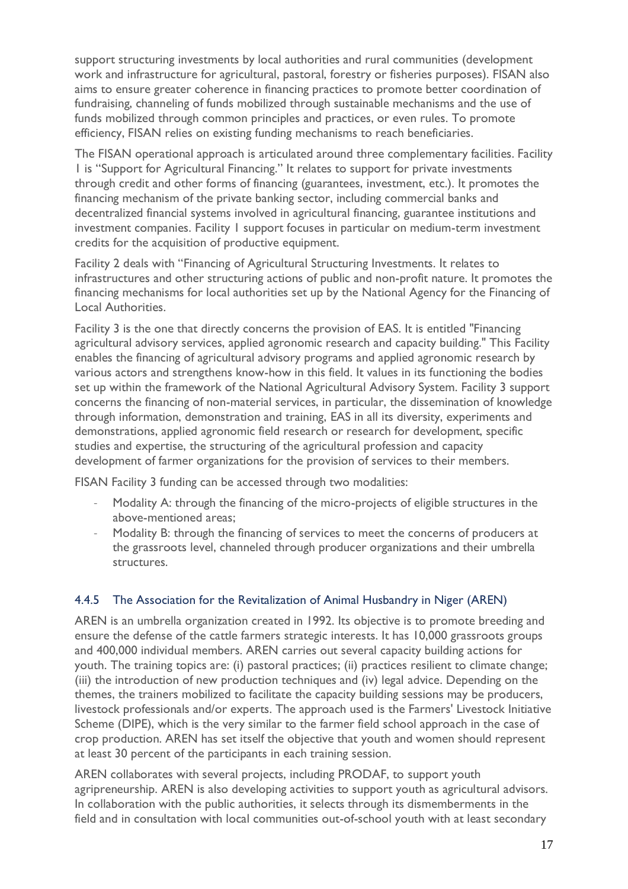support structuring investments by local authorities and rural communities (development work and infrastructure for agricultural, pastoral, forestry or fisheries purposes). FISAN also aims to ensure greater coherence in financing practices to promote better coordination of fundraising, channeling of funds mobilized through sustainable mechanisms and the use of funds mobilized through common principles and practices, or even rules. To promote efficiency, FISAN relies on existing funding mechanisms to reach beneficiaries.

The FISAN operational approach is articulated around three complementary facilities. Facility 1 is "Support for Agricultural Financing." It relates to support for private investments through credit and other forms of financing (guarantees, investment, etc.). It promotes the financing mechanism of the private banking sector, including commercial banks and decentralized financial systems involved in agricultural financing, guarantee institutions and investment companies. Facility 1 support focuses in particular on medium-term investment credits for the acquisition of productive equipment.

Facility 2 deals with "Financing of Agricultural Structuring Investments. It relates to infrastructures and other structuring actions of public and non-profit nature. It promotes the financing mechanisms for local authorities set up by the National Agency for the Financing of Local Authorities.

Facility 3 is the one that directly concerns the provision of EAS. It is entitled "Financing agricultural advisory services, applied agronomic research and capacity building." This Facility enables the financing of agricultural advisory programs and applied agronomic research by various actors and strengthens know-how in this field. It values in its functioning the bodies set up within the framework of the National Agricultural Advisory System. Facility 3 support concerns the financing of non-material services, in particular, the dissemination of knowledge through information, demonstration and training, EAS in all its diversity, experiments and demonstrations, applied agronomic field research or research for development, specific studies and expertise, the structuring of the agricultural profession and capacity development of farmer organizations for the provision of services to their members.

FISAN Facility 3 funding can be accessed through two modalities:

- Modality A: through the financing of the micro-projects of eligible structures in the above-mentioned areas;
- Modality B: through the financing of services to meet the concerns of producers at the grassroots level, channeled through producer organizations and their umbrella structures.

#### <span id="page-16-0"></span>4.4.5 The Association for the Revitalization of Animal Husbandry in Niger (AREN)

AREN is an umbrella organization created in 1992. Its objective is to promote breeding and ensure the defense of the cattle farmers strategic interests. It has 10,000 grassroots groups and 400,000 individual members. AREN carries out several capacity building actions for youth. The training topics are: (i) pastoral practices; (ii) practices resilient to climate change; (iii) the introduction of new production techniques and (iv) legal advice. Depending on the themes, the trainers mobilized to facilitate the capacity building sessions may be producers, livestock professionals and/or experts. The approach used is the Farmers' Livestock Initiative Scheme (DIPE), which is the very similar to the farmer field school approach in the case of crop production. AREN has set itself the objective that youth and women should represent at least 30 percent of the participants in each training session.

AREN collaborates with several projects, including PRODAF, to support youth agripreneurship. AREN is also developing activities to support youth as agricultural advisors. In collaboration with the public authorities, it selects through its dismemberments in the field and in consultation with local communities out-of-school youth with at least secondary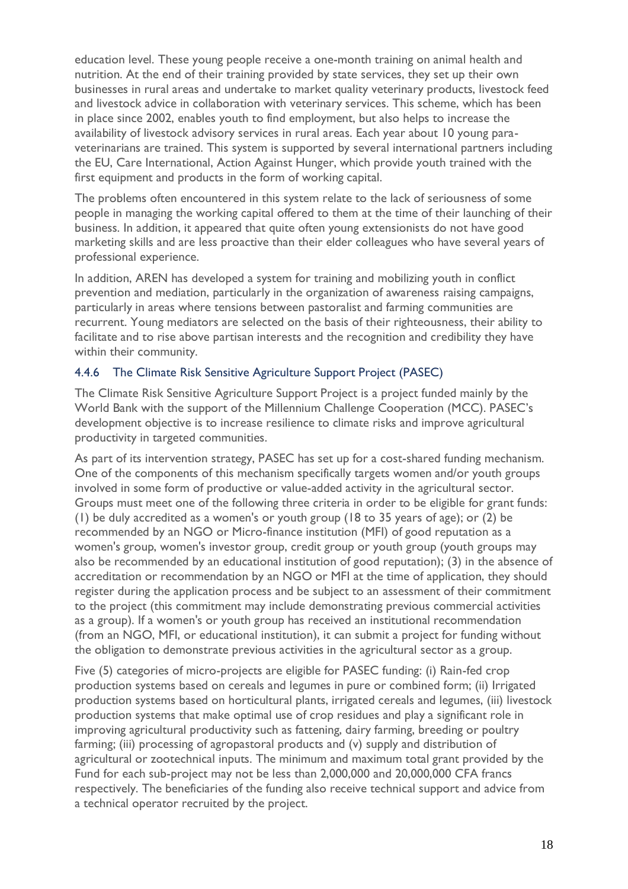education level. These young people receive a one-month training on animal health and nutrition. At the end of their training provided by state services, they set up their own businesses in rural areas and undertake to market quality veterinary products, livestock feed and livestock advice in collaboration with veterinary services. This scheme, which has been in place since 2002, enables youth to find employment, but also helps to increase the availability of livestock advisory services in rural areas. Each year about 10 young paraveterinarians are trained. This system is supported by several international partners including the EU, Care International, Action Against Hunger, which provide youth trained with the first equipment and products in the form of working capital.

The problems often encountered in this system relate to the lack of seriousness of some people in managing the working capital offered to them at the time of their launching of their business. In addition, it appeared that quite often young extensionists do not have good marketing skills and are less proactive than their elder colleagues who have several years of professional experience.

In addition, AREN has developed a system for training and mobilizing youth in conflict prevention and mediation, particularly in the organization of awareness raising campaigns, particularly in areas where tensions between pastoralist and farming communities are recurrent. Young mediators are selected on the basis of their righteousness, their ability to facilitate and to rise above partisan interests and the recognition and credibility they have within their community.

#### <span id="page-17-0"></span>4.4.6 The Climate Risk Sensitive Agriculture Support Project (PASEC)

The Climate Risk Sensitive Agriculture Support Project is a project funded mainly by the World Bank with the support of the Millennium Challenge Cooperation (MCC). PASEC's development objective is to increase resilience to climate risks and improve agricultural productivity in targeted communities.

As part of its intervention strategy, PASEC has set up for a cost-shared funding mechanism. One of the components of this mechanism specifically targets women and/or youth groups involved in some form of productive or value-added activity in the agricultural sector. Groups must meet one of the following three criteria in order to be eligible for grant funds: (1) be duly accredited as a women's or youth group (18 to 35 years of age); or (2) be recommended by an NGO or Micro-finance institution (MFI) of good reputation as a women's group, women's investor group, credit group or youth group (youth groups may also be recommended by an educational institution of good reputation); (3) in the absence of accreditation or recommendation by an NGO or MFI at the time of application, they should register during the application process and be subject to an assessment of their commitment to the project (this commitment may include demonstrating previous commercial activities as a group). If a women's or youth group has received an institutional recommendation (from an NGO, MFI, or educational institution), it can submit a project for funding without the obligation to demonstrate previous activities in the agricultural sector as a group.

Five (5) categories of micro-projects are eligible for PASEC funding: (i) Rain-fed crop production systems based on cereals and legumes in pure or combined form; (ii) Irrigated production systems based on horticultural plants, irrigated cereals and legumes, (iii) livestock production systems that make optimal use of crop residues and play a significant role in improving agricultural productivity such as fattening, dairy farming, breeding or poultry farming; (iii) processing of agropastoral products and (v) supply and distribution of agricultural or zootechnical inputs. The minimum and maximum total grant provided by the Fund for each sub-project may not be less than 2,000,000 and 20,000,000 CFA francs respectively. The beneficiaries of the funding also receive technical support and advice from a technical operator recruited by the project.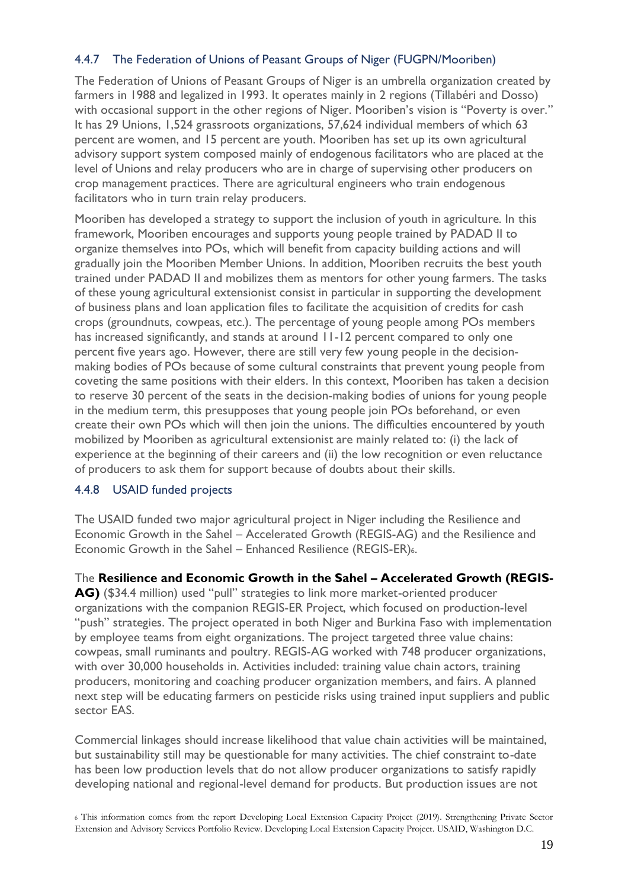#### <span id="page-18-0"></span>4.4.7 The Federation of Unions of Peasant Groups of Niger (FUGPN/Mooriben)

The Federation of Unions of Peasant Groups of Niger is an umbrella organization created by farmers in 1988 and legalized in 1993. It operates mainly in 2 regions (Tillabéri and Dosso) with occasional support in the other regions of Niger. Mooriben's vision is "Poverty is over." It has 29 Unions, 1,524 grassroots organizations, 57,624 individual members of which 63 percent are women, and 15 percent are youth. Mooriben has set up its own agricultural advisory support system composed mainly of endogenous facilitators who are placed at the level of Unions and relay producers who are in charge of supervising other producers on crop management practices. There are agricultural engineers who train endogenous facilitators who in turn train relay producers.

Mooriben has developed a strategy to support the inclusion of youth in agriculture. In this framework, Mooriben encourages and supports young people trained by PADAD II to organize themselves into POs, which will benefit from capacity building actions and will gradually join the Mooriben Member Unions. In addition, Mooriben recruits the best youth trained under PADAD II and mobilizes them as mentors for other young farmers. The tasks of these young agricultural extensionist consist in particular in supporting the development of business plans and loan application files to facilitate the acquisition of credits for cash crops (groundnuts, cowpeas, etc.). The percentage of young people among POs members has increased significantly, and stands at around 11-12 percent compared to only one percent five years ago. However, there are still very few young people in the decisionmaking bodies of POs because of some cultural constraints that prevent young people from coveting the same positions with their elders. In this context, Mooriben has taken a decision to reserve 30 percent of the seats in the decision-making bodies of unions for young people in the medium term, this presupposes that young people join POs beforehand, or even create their own POs which will then join the unions. The difficulties encountered by youth mobilized by Mooriben as agricultural extensionist are mainly related to: (i) the lack of experience at the beginning of their careers and (ii) the low recognition or even reluctance of producers to ask them for support because of doubts about their skills.

#### <span id="page-18-1"></span>4.4.8 USAID funded projects

The USAID funded two major agricultural project in Niger including the Resilience and Economic Growth in the Sahel – Accelerated Growth (REGIS-AG) and the Resilience and Economic Growth in the Sahel – Enhanced Resilience (REGIS-ER)6.

The **Resilience and Economic Growth in the Sahel – Accelerated Growth (REGIS-AG)** (\$34.4 million) used "pull" strategies to link more market-oriented producer organizations with the companion REGIS-ER Project, which focused on production-level "push" strategies. The project operated in both Niger and Burkina Faso with implementation by employee teams from eight organizations. The project targeted three value chains: cowpeas, small ruminants and poultry. REGIS-AG worked with 748 producer organizations, with over 30,000 households in. Activities included: training value chain actors, training producers, monitoring and coaching producer organization members, and fairs. A planned next step will be educating farmers on pesticide risks using trained input suppliers and public sector EAS.

Commercial linkages should increase likelihood that value chain activities will be maintained, but sustainability still may be questionable for many activities. The chief constraint to-date has been low production levels that do not allow producer organizations to satisfy rapidly developing national and regional-level demand for products. But production issues are not

<sup>6</sup> This information comes from the report Developing Local Extension Capacity Project (2019). Strengthening Private Sector Extension and Advisory Services Portfolio Review. Developing Local Extension Capacity Project. USAID, Washington D.C.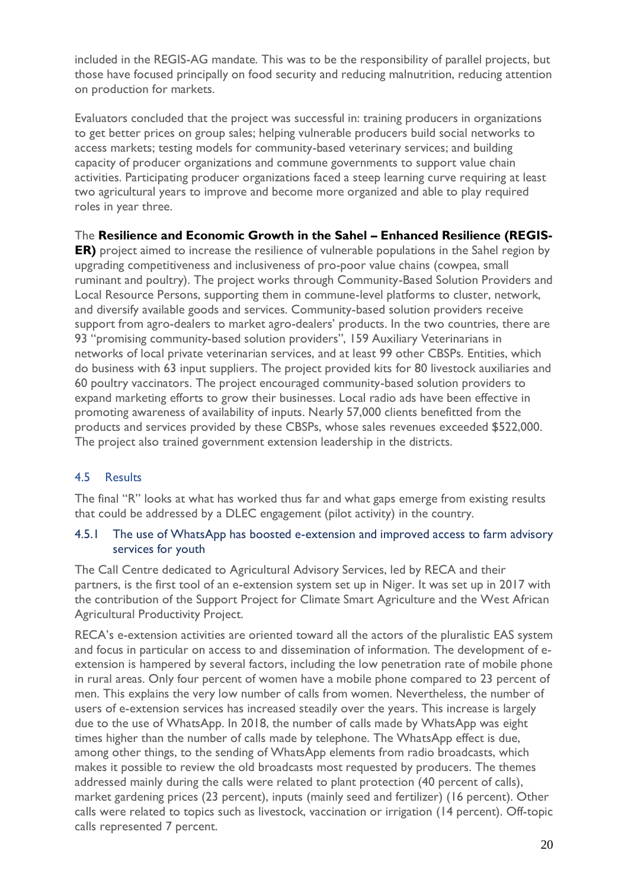included in the REGIS-AG mandate. This was to be the responsibility of parallel projects, but those have focused principally on food security and reducing malnutrition, reducing attention on production for markets.

Evaluators concluded that the project was successful in: training producers in organizations to get better prices on group sales; helping vulnerable producers build social networks to access markets; testing models for community-based veterinary services; and building capacity of producer organizations and commune governments to support value chain activities. Participating producer organizations faced a steep learning curve requiring at least two agricultural years to improve and become more organized and able to play required roles in year three.

The **Resilience and Economic Growth in the Sahel – Enhanced Resilience (REGIS-**

**ER)** project aimed to increase the resilience of vulnerable populations in the Sahel region by upgrading competitiveness and inclusiveness of pro-poor value chains (cowpea, small ruminant and poultry). The project works through Community-Based Solution Providers and Local Resource Persons, supporting them in commune-level platforms to cluster, network, and diversify available goods and services. Community-based solution providers receive support from agro-dealers to market agro-dealers' products. In the two countries, there are 93 "promising community-based solution providers", 159 Auxiliary Veterinarians in networks of local private veterinarian services, and at least 99 other CBSPs. Entities, which do business with 63 input suppliers. The project provided kits for 80 livestock auxiliaries and 60 poultry vaccinators. The project encouraged community-based solution providers to expand marketing efforts to grow their businesses. Local radio ads have been effective in promoting awareness of availability of inputs. Nearly 57,000 clients benefitted from the products and services provided by these CBSPs, whose sales revenues exceeded \$522,000. The project also trained government extension leadership in the districts.

#### <span id="page-19-0"></span>4.5 Results

The final "R" looks at what has worked thus far and what gaps emerge from existing results that could be addressed by a DLEC engagement (pilot activity) in the country.

#### <span id="page-19-1"></span>4.5.1 The use of WhatsApp has boosted e-extension and improved access to farm advisory services for youth

The Call Centre dedicated to Agricultural Advisory Services, led by RECA and their partners, is the first tool of an e-extension system set up in Niger. It was set up in 2017 with the contribution of the Support Project for Climate Smart Agriculture and the West African Agricultural Productivity Project.

RECA's e-extension activities are oriented toward all the actors of the pluralistic EAS system and focus in particular on access to and dissemination of information. The development of eextension is hampered by several factors, including the low penetration rate of mobile phone in rural areas. Only four percent of women have a mobile phone compared to 23 percent of men. This explains the very low number of calls from women. Nevertheless, the number of users of e-extension services has increased steadily over the years. This increase is largely due to the use of WhatsApp. In 2018, the number of calls made by WhatsApp was eight times higher than the number of calls made by telephone. The WhatsApp effect is due, among other things, to the sending of WhatsApp elements from radio broadcasts, which makes it possible to review the old broadcasts most requested by producers. The themes addressed mainly during the calls were related to plant protection (40 percent of calls), market gardening prices (23 percent), inputs (mainly seed and fertilizer) (16 percent). Other calls were related to topics such as livestock, vaccination or irrigation (14 percent). Off-topic calls represented 7 percent.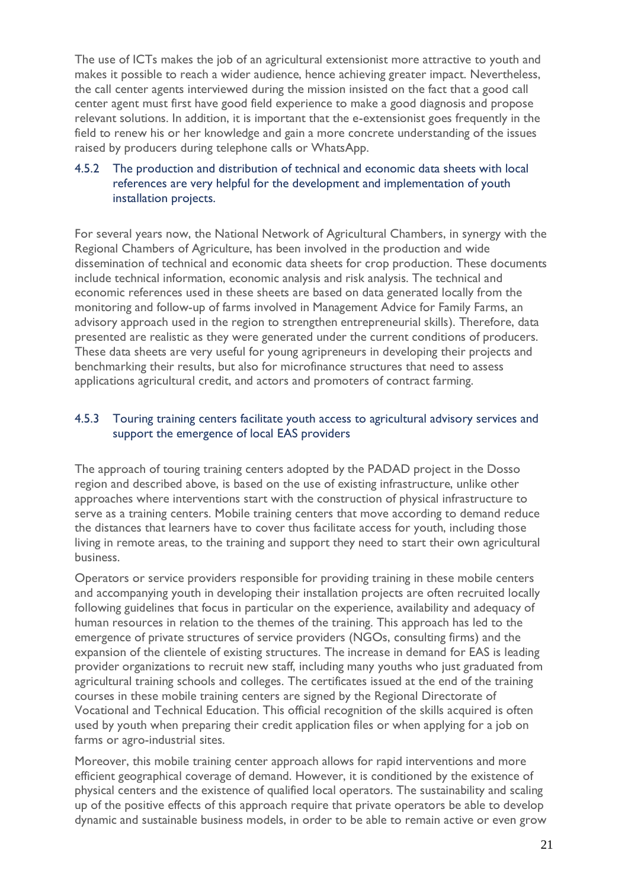The use of ICTs makes the job of an agricultural extensionist more attractive to youth and makes it possible to reach a wider audience, hence achieving greater impact. Nevertheless, the call center agents interviewed during the mission insisted on the fact that a good call center agent must first have good field experience to make a good diagnosis and propose relevant solutions. In addition, it is important that the e-extensionist goes frequently in the field to renew his or her knowledge and gain a more concrete understanding of the issues raised by producers during telephone calls or WhatsApp.

#### <span id="page-20-0"></span>4.5.2 The production and distribution of technical and economic data sheets with local references are very helpful for the development and implementation of youth installation projects.

For several years now, the National Network of Agricultural Chambers, in synergy with the Regional Chambers of Agriculture, has been involved in the production and wide dissemination of technical and economic data sheets for crop production. These documents include technical information, economic analysis and risk analysis. The technical and economic references used in these sheets are based on data generated locally from the monitoring and follow-up of farms involved in Management Advice for Family Farms, an advisory approach used in the region to strengthen entrepreneurial skills). Therefore, data presented are realistic as they were generated under the current conditions of producers. These data sheets are very useful for young agripreneurs in developing their projects and benchmarking their results, but also for microfinance structures that need to assess applications agricultural credit, and actors and promoters of contract farming.

#### <span id="page-20-1"></span>4.5.3 Touring training centers facilitate youth access to agricultural advisory services and support the emergence of local EAS providers

The approach of touring training centers adopted by the PADAD project in the Dosso region and described above, is based on the use of existing infrastructure, unlike other approaches where interventions start with the construction of physical infrastructure to serve as a training centers. Mobile training centers that move according to demand reduce the distances that learners have to cover thus facilitate access for youth, including those living in remote areas, to the training and support they need to start their own agricultural business.

Operators or service providers responsible for providing training in these mobile centers and accompanying youth in developing their installation projects are often recruited locally following guidelines that focus in particular on the experience, availability and adequacy of human resources in relation to the themes of the training. This approach has led to the emergence of private structures of service providers (NGOs, consulting firms) and the expansion of the clientele of existing structures. The increase in demand for EAS is leading provider organizations to recruit new staff, including many youths who just graduated from agricultural training schools and colleges. The certificates issued at the end of the training courses in these mobile training centers are signed by the Regional Directorate of Vocational and Technical Education. This official recognition of the skills acquired is often used by youth when preparing their credit application files or when applying for a job on farms or agro-industrial sites.

Moreover, this mobile training center approach allows for rapid interventions and more efficient geographical coverage of demand. However, it is conditioned by the existence of physical centers and the existence of qualified local operators. The sustainability and scaling up of the positive effects of this approach require that private operators be able to develop dynamic and sustainable business models, in order to be able to remain active or even grow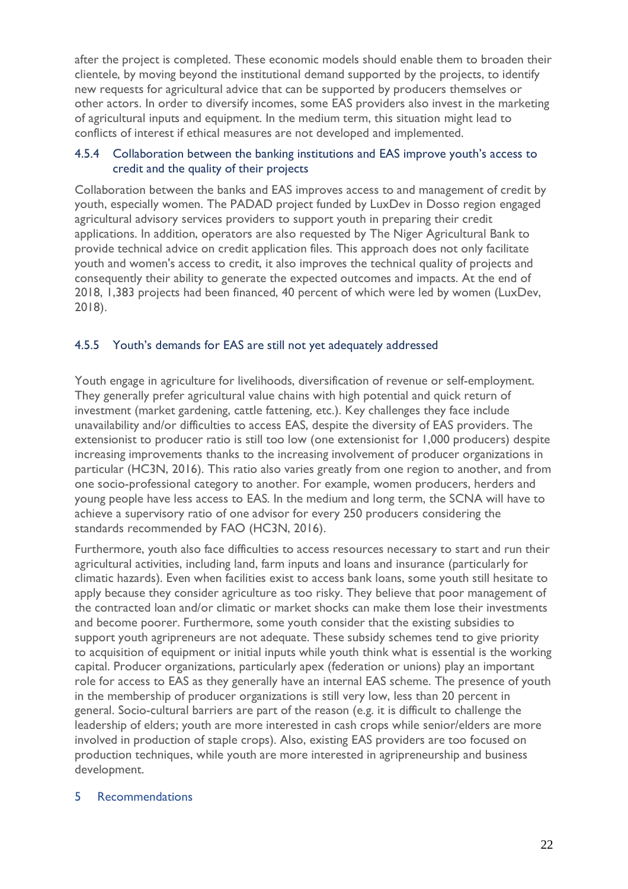after the project is completed. These economic models should enable them to broaden their clientele, by moving beyond the institutional demand supported by the projects, to identify new requests for agricultural advice that can be supported by producers themselves or other actors. In order to diversify incomes, some EAS providers also invest in the marketing of agricultural inputs and equipment. In the medium term, this situation might lead to conflicts of interest if ethical measures are not developed and implemented.

#### <span id="page-21-0"></span>4.5.4 Collaboration between the banking institutions and EAS improve youth's access to credit and the quality of their projects

Collaboration between the banks and EAS improves access to and management of credit by youth, especially women. The PADAD project funded by LuxDev in Dosso region engaged agricultural advisory services providers to support youth in preparing their credit applications. In addition, operators are also requested by The Niger Agricultural Bank to provide technical advice on credit application files. This approach does not only facilitate youth and women's access to credit, it also improves the technical quality of projects and consequently their ability to generate the expected outcomes and impacts. At the end of 2018, 1,383 projects had been financed, 40 percent of which were led by women (LuxDev, 2018).

#### <span id="page-21-1"></span>4.5.5 Youth's demands for EAS are still not yet adequately addressed

Youth engage in agriculture for livelihoods, diversification of revenue or self-employment. They generally prefer agricultural value chains with high potential and quick return of investment (market gardening, cattle fattening, etc.). Key challenges they face include unavailability and/or difficulties to access EAS, despite the diversity of EAS providers. The extensionist to producer ratio is still too low (one extensionist for 1,000 producers) despite increasing improvements thanks to the increasing involvement of producer organizations in particular (HC3N, 2016). This ratio also varies greatly from one region to another, and from one socio-professional category to another. For example, women producers, herders and young people have less access to EAS. In the medium and long term, the SCNA will have to achieve a supervisory ratio of one advisor for every 250 producers considering the standards recommended by FAO (HC3N, 2016).

Furthermore, youth also face difficulties to access resources necessary to start and run their agricultural activities, including land, farm inputs and loans and insurance (particularly for climatic hazards). Even when facilities exist to access bank loans, some youth still hesitate to apply because they consider agriculture as too risky. They believe that poor management of the contracted loan and/or climatic or market shocks can make them lose their investments and become poorer. Furthermore, some youth consider that the existing subsidies to support youth agripreneurs are not adequate. These subsidy schemes tend to give priority to acquisition of equipment or initial inputs while youth think what is essential is the working capital. Producer organizations, particularly apex (federation or unions) play an important role for access to EAS as they generally have an internal EAS scheme. The presence of youth in the membership of producer organizations is still very low, less than 20 percent in general. Socio-cultural barriers are part of the reason (e.g. it is difficult to challenge the leadership of elders; youth are more interested in cash crops while senior/elders are more involved in production of staple crops). Also, existing EAS providers are too focused on production techniques, while youth are more interested in agripreneurship and business development.

#### <span id="page-21-2"></span>5 Recommendations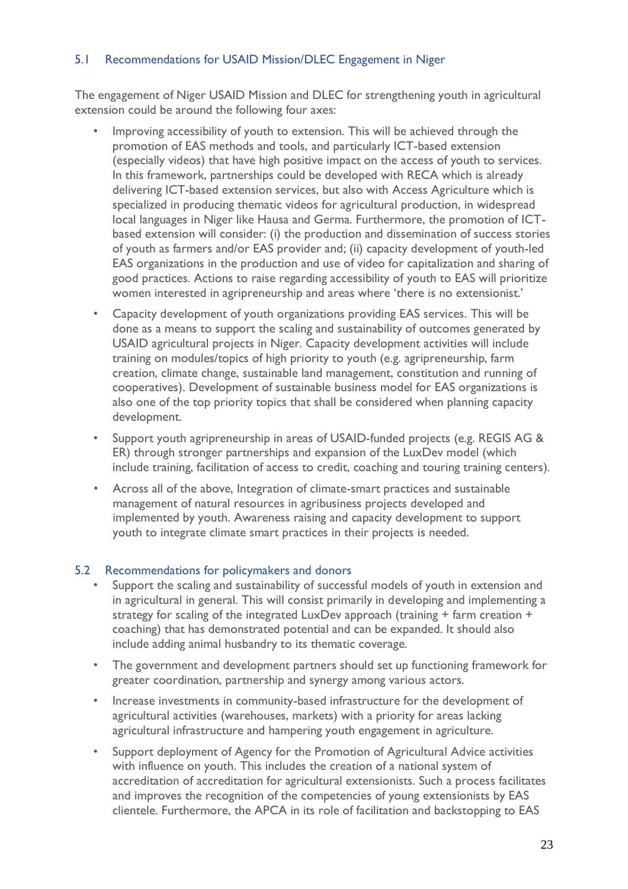#### <span id="page-22-0"></span>5.1 Recommendations for USAID Mission/DLEC Engagement in Niger

The engagement of Niger USAID Mission and DLEC for strengthening youth in agricultural extension could be around the following four axes:

- Improving accessibility of youth to extension. This will be achieved through the promotion of EAS methods and tools, and particularly ICT-based extension (especially videos) that have high positive impact on the access of youth to services. In this framework, partnerships could be developed with RECA which is already delivering ICT-based extension services, but also with Access Agriculture which is specialized in producing thematic videos for agricultural production, in widespread local languages in Niger like Hausa and Germa. Furthermore, the promotion of ICTbased extension will consider: (i) the production and dissemination of success stories of youth as farmers and/or EAS provider and; (ii) capacity development of youth-led EAS organizations in the production and use of video for capitalization and sharing of good practices. Actions to raise regarding accessibility of youth to EAS will prioritize women interested in agripreneurship and areas where 'there is no extensionist.'
- Capacity development of youth organizations providing EAS services. This will be done as a means to support the scaling and sustainability of outcomes generated by USAID agricultural projects in Niger. Capacity development activities will include training on modules/topics of high priority to youth (e.g. agripreneurship, farm creation, climate change, sustainable land management, constitution and running of cooperatives). Development of sustainable business model for EAS organizations is also one of the top priority topics that shall be considered when planning capacity development.
- Support youth agripreneurship in areas of USAID-funded projects (e.g. REGIS AG & ER) through stronger partnerships and expansion of the LuxDev model (which include training, facilitation of access to credit, coaching and touring training centers).
- Across all of the above, Integration of climate-smart practices and sustainable management of natural resources in agribusiness projects developed and implemented by youth. Awareness raising and capacity development to support youth to integrate climate smart practices in their projects is needed.

#### <span id="page-22-1"></span>5.2 Recommendations for policymakers and donors

- Support the scaling and sustainability of successful models of youth in extension and in agricultural in general. This will consist primarily in developing and implementing a strategy for scaling of the integrated LuxDev approach (training + farm creation + coaching) that has demonstrated potential and can be expanded. It should also include adding animal husbandry to its thematic coverage.
- The government and development partners should set up functioning framework for greater coordination, partnership and synergy among various actors.
- Increase investments in community-based infrastructure for the development of agricultural activities (warehouses, markets) with a priority for areas lacking agricultural infrastructure and hampering youth engagement in agriculture.
- Support deployment of Agency for the Promotion of Agricultural Advice activities with influence on youth. This includes the creation of a national system of accreditation of accreditation for agricultural extensionists. Such a process facilitates and improves the recognition of the competencies of young extensionists by EAS clientele. Furthermore, the APCA in its role of facilitation and backstopping to EAS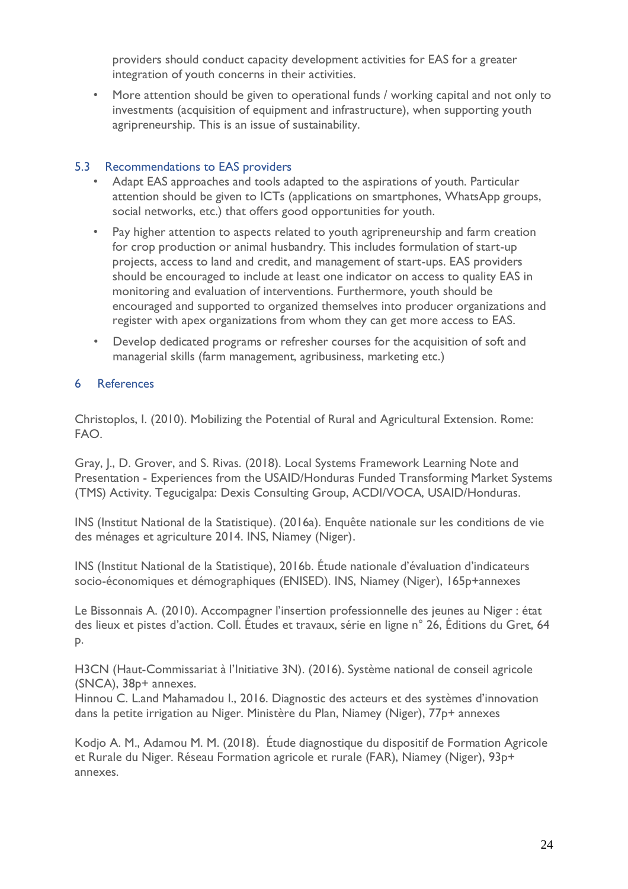providers should conduct capacity development activities for EAS for a greater integration of youth concerns in their activities.

• More attention should be given to operational funds / working capital and not only to investments (acquisition of equipment and infrastructure), when supporting youth agripreneurship. This is an issue of sustainability.

#### <span id="page-23-0"></span>5.3 Recommendations to EAS providers

- Adapt EAS approaches and tools adapted to the aspirations of youth. Particular attention should be given to ICTs (applications on smartphones, WhatsApp groups, social networks, etc.) that offers good opportunities for youth.
- Pay higher attention to aspects related to youth agripreneurship and farm creation for crop production or animal husbandry. This includes formulation of start-up projects, access to land and credit, and management of start-ups. EAS providers should be encouraged to include at least one indicator on access to quality EAS in monitoring and evaluation of interventions. Furthermore, youth should be encouraged and supported to organized themselves into producer organizations and register with apex organizations from whom they can get more access to EAS.
- Develop dedicated programs or refresher courses for the acquisition of soft and managerial skills (farm management, agribusiness, marketing etc.)

#### <span id="page-23-1"></span>6 References

Christoplos, I. (2010). Mobilizing the Potential of Rural and Agricultural Extension. Rome: FAO.

Gray, J., D. Grover, and S. Rivas. (2018). Local Systems Framework Learning Note and Presentation - Experiences from the USAID/Honduras Funded Transforming Market Systems (TMS) Activity. Tegucigalpa: Dexis Consulting Group, ACDI/VOCA, USAID/Honduras.

INS (Institut National de la Statistique). (2016a). Enquête nationale sur les conditions de vie des ménages et agriculture 2014. INS, Niamey (Niger).

INS (Institut National de la Statistique), 2016b. Étude nationale d'évaluation d'indicateurs socio-économiques et démographiques (ENISED). INS, Niamey (Niger), 165p+annexes

Le Bissonnais A. (2010). Accompagner l'insertion professionnelle des jeunes au Niger : état des lieux et pistes d'action. Coll. Études et travaux, série en ligne n° 26, Éditions du Gret, 64 p.

H3CN (Haut-Commissariat à l'Initiative 3N). (2016). Système national de conseil agricole (SNCA), 38p+ annexes.

Hinnou C. L.and Mahamadou I., 2016. Diagnostic des acteurs et des systèmes d'innovation dans la petite irrigation au Niger. Ministère du Plan, Niamey (Niger), 77p+ annexes

Kodjo A. M., Adamou M. M. (2018). Étude diagnostique du dispositif de Formation Agricole et Rurale du Niger. Réseau Formation agricole et rurale (FAR), Niamey (Niger), 93p+ annexes.